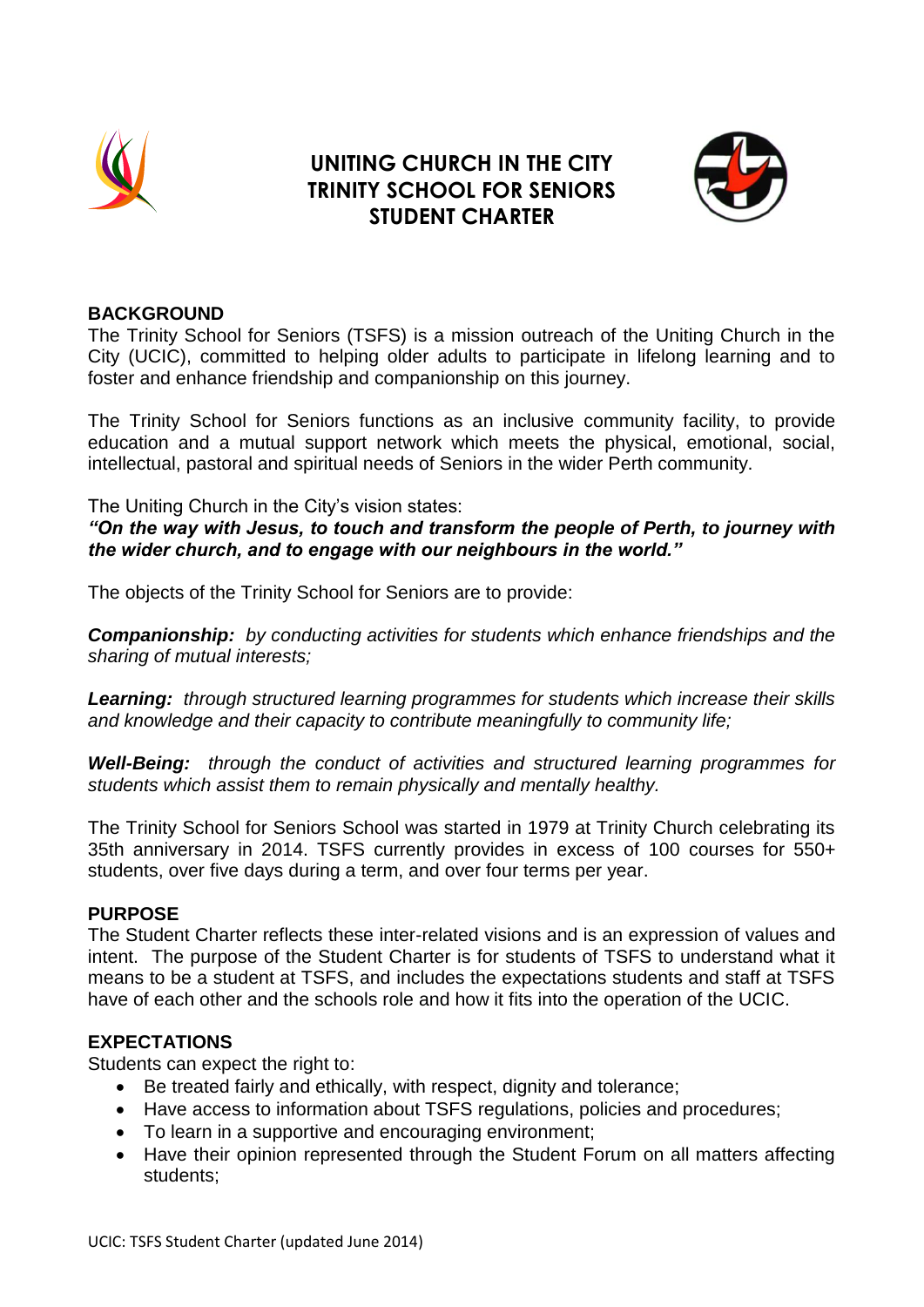

# **UNITING CHURCH IN THE CITY TRINITY SCHOOL FOR SENIORS STUDENT CHARTER**



### **BACKGROUND**

The Trinity School for Seniors (TSFS) is a mission outreach of the Uniting Church in the City (UCIC), committed to helping older adults to participate in lifelong learning and to foster and enhance friendship and companionship on this journey.

The Trinity School for Seniors functions as an inclusive community facility, to provide education and a mutual support network which meets the physical, emotional, social, intellectual, pastoral and spiritual needs of Seniors in the wider Perth community.

The Uniting Church in the City's vision states:

*"On the way with Jesus, to touch and transform the people of Perth, to journey with the wider church, and to engage with our neighbours in the world."*

The objects of the Trinity School for Seniors are to provide:

*Companionship: by conducting activities for students which enhance friendships and the sharing of mutual interests;*

*Learning: through structured learning programmes for students which increase their skills and knowledge and their capacity to contribute meaningfully to community life;*

*Well-Being: through the conduct of activities and structured learning programmes for students which assist them to remain physically and mentally healthy.*

The Trinity School for Seniors School was started in 1979 at Trinity Church celebrating its 35th anniversary in 2014. TSFS currently provides in excess of 100 courses for 550+ students, over five days during a term, and over four terms per year.

#### **PURPOSE**

The Student Charter reflects these inter-related visions and is an expression of values and intent. The purpose of the Student Charter is for students of TSFS to understand what it means to be a student at TSFS, and includes the expectations students and staff at TSFS have of each other and the schools role and how it fits into the operation of the UCIC.

#### **EXPECTATIONS**

Students can expect the right to:

- Be treated fairly and ethically, with respect, dignity and tolerance;
- Have access to information about TSFS regulations, policies and procedures;
- To learn in a supportive and encouraging environment;
- Have their opinion represented through the Student Forum on all matters affecting students;